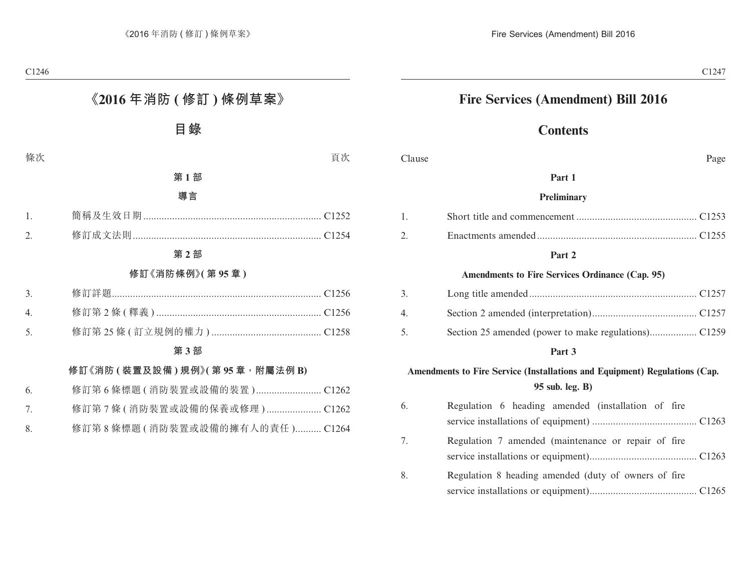## **Fire Services (Amendment) Bill 2016**

# **Contents**

#### Clause Page

#### **Part 1**

#### **Preliminary**

#### **Part 2**

#### **Amendments to Fire Services Ordinance (Cap. 95)**

| 3.                                |  |
|-----------------------------------|--|
| $\overline{4}$ and $\overline{4}$ |  |
| 5.                                |  |

#### **Part 3**

## **Amendments to Fire Service (Installations and Equipment) Regulations (Cap. 95 sub. leg. B)**

| 6. | Regulation 6 heading amended (installation of fire   |
|----|------------------------------------------------------|
|    |                                                      |
| 7. | Regulation 7 amended (maintenance or repair of fire  |
| 8. | Regulation 8 heading amended (duty of owners of fire |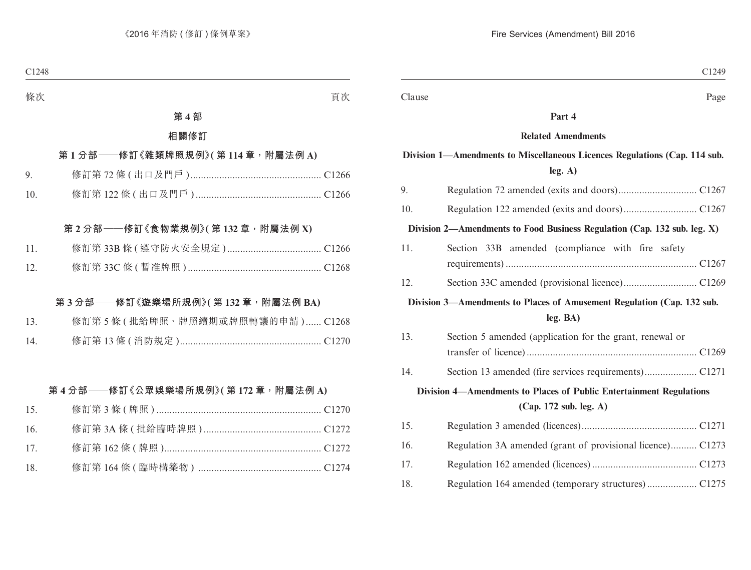Clause Page

#### **Part 4**

#### **Related Amendments**

## **Division 1—Amendments to Miscellaneous Licences Regulations (Cap. 114 sub. leg. A)**

| 9.                                                                     |                                                                          |  |  |  |
|------------------------------------------------------------------------|--------------------------------------------------------------------------|--|--|--|
| 10.                                                                    |                                                                          |  |  |  |
|                                                                        | Division 2—Amendments to Food Business Regulation (Cap. 132 sub. leg. X) |  |  |  |
| 11.                                                                    | Section 33B amended (compliance with fire safety                         |  |  |  |
| 12.                                                                    |                                                                          |  |  |  |
| Division 3—Amendments to Places of Amusement Regulation (Cap. 132 sub. |                                                                          |  |  |  |
|                                                                        | leg. BA)                                                                 |  |  |  |
| 13.                                                                    | Section 5 amended (application for the grant, renewal or                 |  |  |  |
|                                                                        |                                                                          |  |  |  |
| 14.                                                                    |                                                                          |  |  |  |
| Division 4-Amendments to Places of Public Entertainment Regulations    |                                                                          |  |  |  |
| (Cap. 172 sub. leg. A)                                                 |                                                                          |  |  |  |
| 15.                                                                    |                                                                          |  |  |  |
| 16.                                                                    | Regulation 3A amended (grant of provisional licence) C1273               |  |  |  |
| 17.                                                                    |                                                                          |  |  |  |
| 18.                                                                    |                                                                          |  |  |  |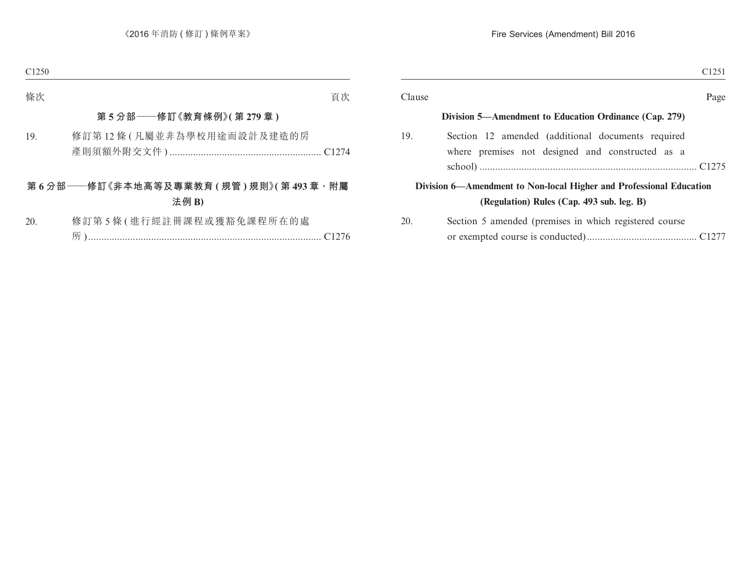|                                                                                                                  | C <sub>1251</sub> |
|------------------------------------------------------------------------------------------------------------------|-------------------|
|                                                                                                                  | Page              |
| Division 5—Amendment to Education Ordinance (Cap. 279)                                                           |                   |
| Section 12 amended (additional documents required<br>where premises not designed and constructed as a            |                   |
| Division 6—Amendment to Non-local Higher and Professional Education<br>(Regulation) Rules (Cap. 493 sub. leg. B) |                   |
| Section 5 amended (premises in which registered course                                                           |                   |
|                                                                                                                  |                   |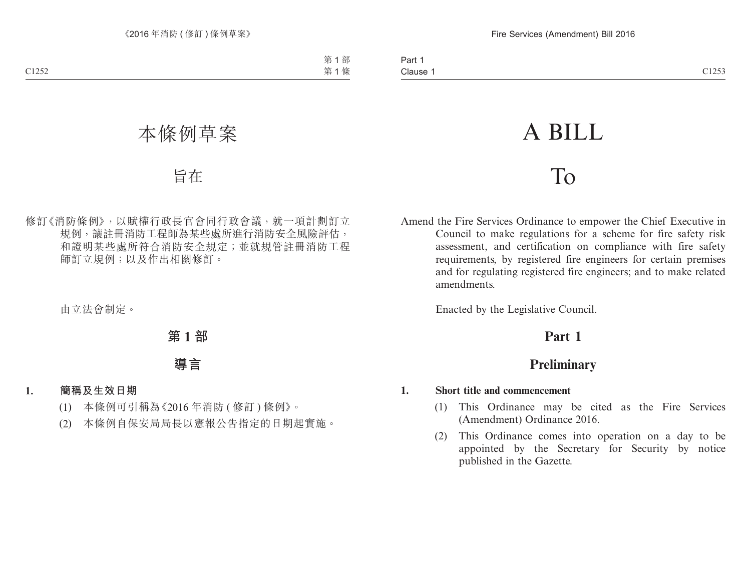# A BILL

# To

Amend the Fire Services Ordinance to empower the Chief Executive in Council to make regulations for a scheme for fire safety risk assessment, and certification on compliance with fire safety requirements, by registered fire engineers for certain premises and for regulating registered fire engineers; and to make related amendments.

Enacted by the Legislative Council.

# **Part 1**

# **Preliminary**

#### **1. Short title and commencement**

- (1) This Ordinance may be cited as the Fire Services (Amendment) Ordinance 2016.
- (2) This Ordinance comes into operation on a day to be appointed by the Secretary for Security by notice published in the Gazette.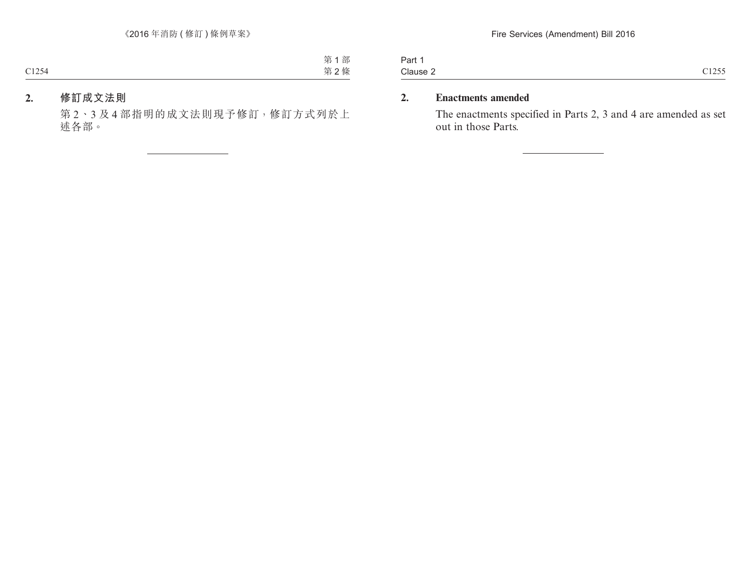| -<br>Part |                    |
|-----------|--------------------|
| Clause 2  | C1255<br>- - - - - |

## **2. Enactments amended**

The enactments specified in Parts 2, 3 and 4 are amended as set out in those Parts.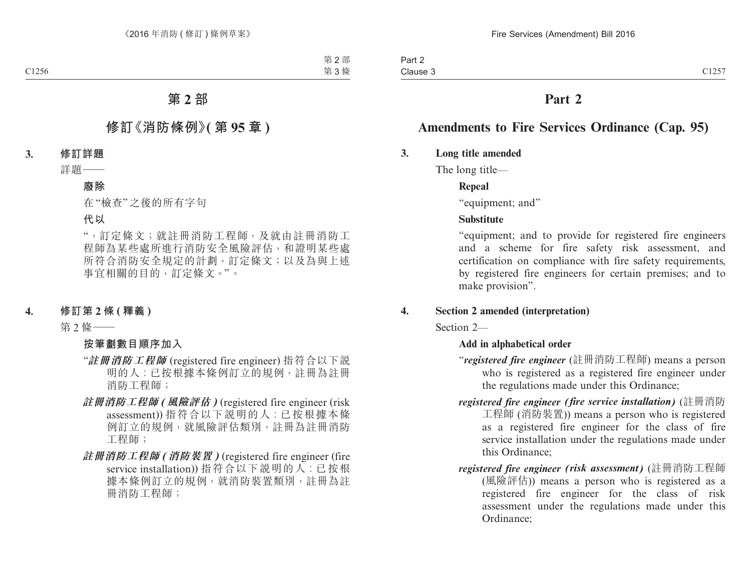# **Part 2**

# **Amendments to Fire Services Ordinance (Cap. 95)**

## **3. Long title amended**

The long title—

## **Repeal**

"equipment; and"

## **Substitute**

"equipment; and to provide for registered fire engineers and a scheme for fire safety risk assessment, and certification on compliance with fire safety requirements, by registered fire engineers for certain premises; and to make provision".

## **4. Section 2 amended (interpretation)**

Section 2—

## **Add in alphabetical order**

- "*registered fire engineer* (註冊消防工程師) means a person who is registered as a registered fire engineer under the regulations made under this Ordinance;
- *registered fire engineer (fire service installation)* (註冊消防 工程師 (消防裝置)) means a person who is registered as a registered fire engineer for the class of fire service installation under the regulations made under this Ordinance;
- *registered fire engineer (risk assessment)* (註冊消防工程師 (風險評估)) means a person who is registered as a registered fire engineer for the class of risk assessment under the regulations made under this Ordinance;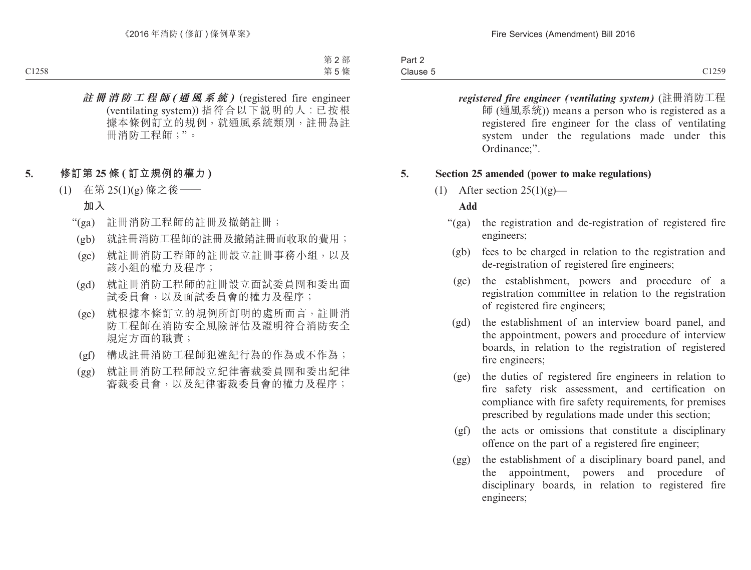| Part 2   |                      |
|----------|----------------------|
| Clause 5 | C1259<br><b>UILJ</b> |

*registered fire engineer (ventilating system)* (註冊消防工程 師 (通風系統)) means a person who is registered as a registered fire engineer for the class of ventilating system under the regulations made under this Ordinance;".

#### **5. Section 25 amended (power to make regulations)**

(1) After section  $25(1)(g)$ —

#### **Add**

- "(ga) the registration and de-registration of registered fire engineers;
	- (gb) fees to be charged in relation to the registration and de-registration of registered fire engineers;
	- (gc) the establishment, powers and procedure of a registration committee in relation to the registration of registered fire engineers;
	- (gd) the establishment of an interview board panel, and the appointment, powers and procedure of interview boards, in relation to the registration of registered fire engineers;
	- (ge) the duties of registered fire engineers in relation to fire safety risk assessment, and certification on compliance with fire safety requirements, for premises prescribed by regulations made under this section;
	- (gf) the acts or omissions that constitute a disciplinary offence on the part of a registered fire engineer;
	- (gg) the establishment of a disciplinary board panel, and the appointment, powers and procedure of disciplinary boards, in relation to registered fire engineers;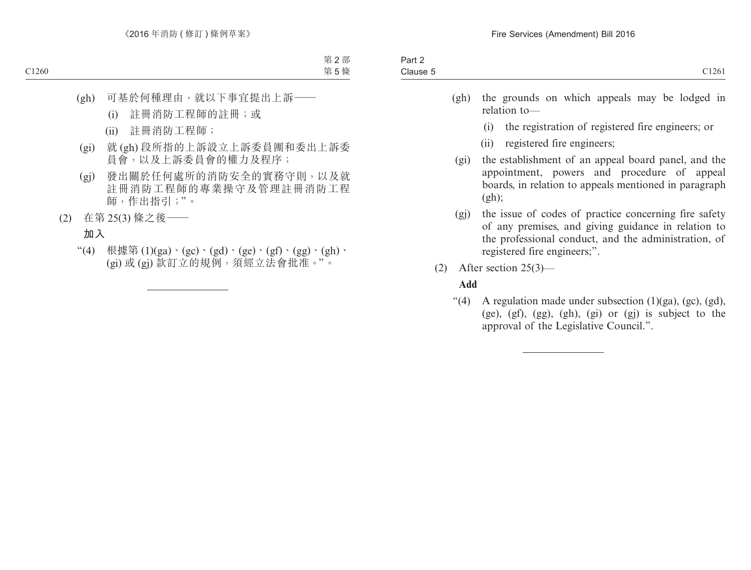- (gh) the grounds on which appeals may be lodged in relation to—
	- (i) the registration of registered fire engineers; or
	- (ii) registered fire engineers;
- (gi) the establishment of an appeal board panel, and the appointment, powers and procedure of appeal boards, in relation to appeals mentioned in paragraph  $(gh)$ :
- (gj) the issue of codes of practice concerning fire safety of any premises, and giving guidance in relation to the professional conduct, and the administration, of registered fire engineers;".
- (2) After section 25(3)—

## **Add**

"(4) A regulation made under subsection  $(1)(ga)$ ,  $(gc)$ ,  $(gd)$ , (ge), (gf), (gg), (gh), (gi) or (gj) is subject to the approval of the Legislative Council.".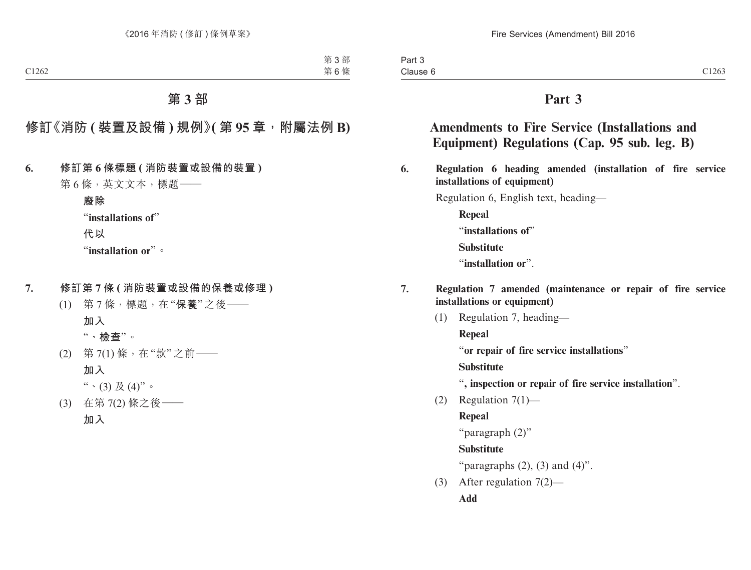# **Part 3**

# **Amendments to Fire Service (Installations and Equipment) Regulations (Cap. 95 sub. leg. B)**

**6. Regulation 6 heading amended (installation of fire service installations of equipment)**

Regulation 6, English text, heading—

**Repeal** "**installations of**" **Substitute** "**installation or**".

- **7. Regulation 7 amended (maintenance or repair of fire service installations or equipment)**
	- (1) Regulation 7, heading— **Repeal** "**or repair of fire service installations**"

**Substitute**

- "**, inspection or repair of fire service installation**".
- (2) Regulation 7(1)—

**Repeal**

```
"paragraph (2)"
```
**Substitute**

"paragraphs  $(2)$ ,  $(3)$  and  $(4)$ ".

(3) After regulation 7(2)— **Add**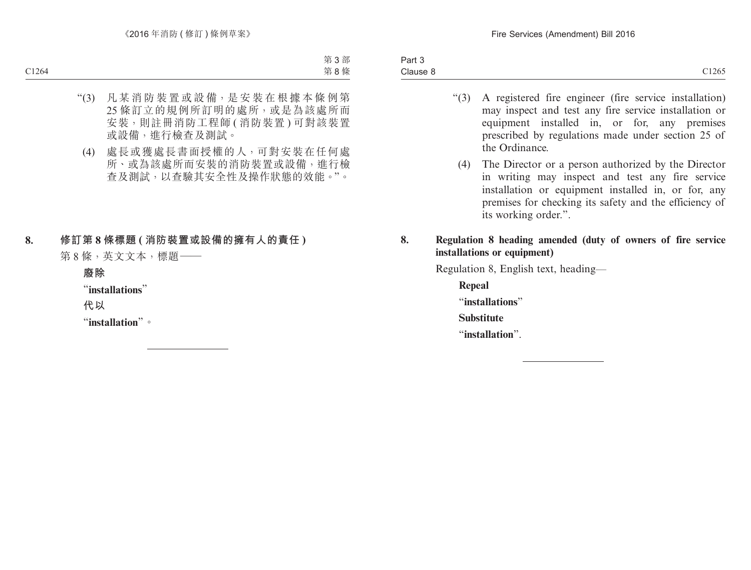- "(3) A registered fire engineer (fire service installation) may inspect and test any fire service installation or equipment installed in, or for, any premises prescribed by regulations made under section 25 of the Ordinance.
	- (4) The Director or a person authorized by the Director in writing may inspect and test any fire service installation or equipment installed in, or for, any premises for checking its safety and the efficiency of its working order.".

## **8. Regulation 8 heading amended (duty of owners of fire service installations or equipment)**

Regulation 8, English text, heading—

**Repeal** "**installations**" **Substitute** "**installation**".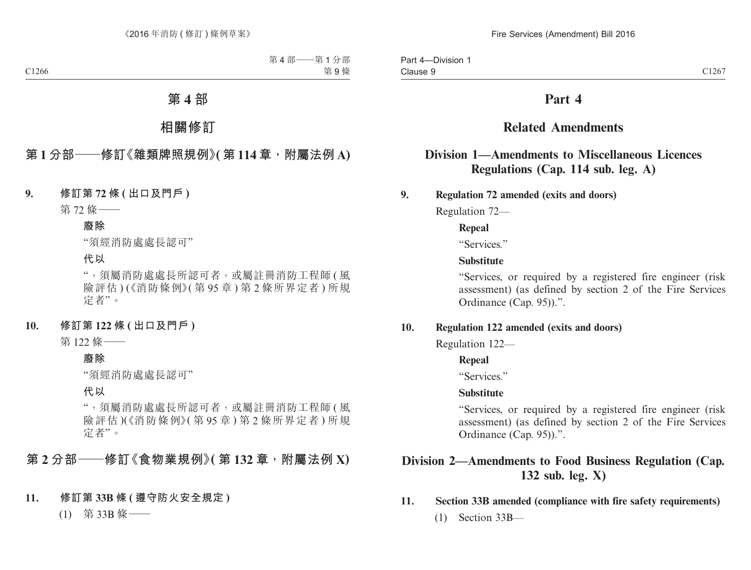# **Part 4**

# **Related Amendments**

# **Division 1—Amendments to Miscellaneous Licences Regulations (Cap. 114 sub. leg. A)**

**9. Regulation 72 amended (exits and doors)**

Regulation 72—

## **Repeal**

"Services."

## **Substitute**

"Services, or required by a registered fire engineer (risk assessment) (as defined by section 2 of the Fire Services Ordinance (Cap. 95)).".

## **10. Regulation 122 amended (exits and doors)**

Regulation 122—

## **Repeal**

"Services"

## **Substitute**

"Services, or required by a registered fire engineer (risk assessment) (as defined by section 2 of the Fire Services Ordinance (Cap. 95)).".

# **Division 2—Amendments to Food Business Regulation (Cap. 132 sub. leg. X)**

## **11. Section 33B amended (compliance with fire safety requirements)**

(1) Section 33B—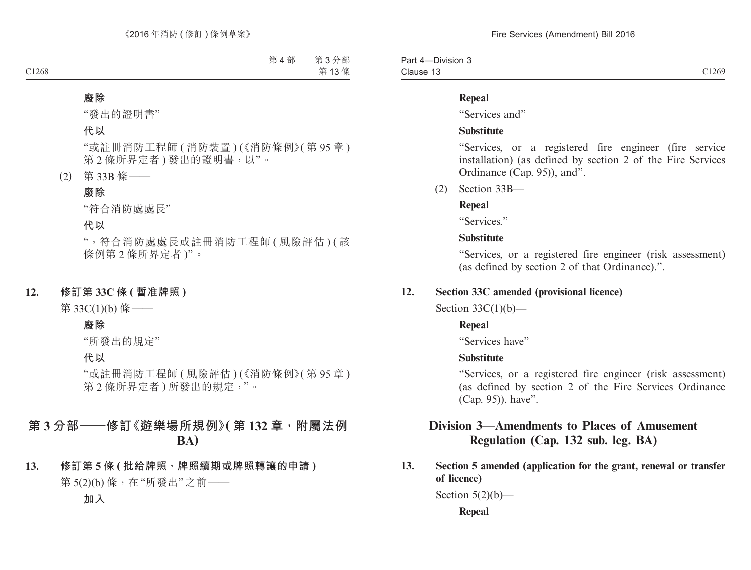| -Division 3<br>Part 4– |       |
|------------------------|-------|
| Clause 13              | C1269 |

#### **Repeal**

"Services and"

#### **Substitute**

"Services, or a registered fire engineer (fire service installation) (as defined by section 2 of the Fire Services Ordinance (Cap. 95)), and".

(2) Section 33B—

## **Repeal**

"Services."

## **Substitute**

"Services, or a registered fire engineer (risk assessment) (as defined by section 2 of that Ordinance).".

## **12. Section 33C amended (provisional licence)**

Section  $33C(1)(b)$ —

## **Repeal**

"Services have"

## **Substitute**

"Services, or a registered fire engineer (risk assessment) (as defined by section 2 of the Fire Services Ordinance (Cap. 95)), have".

# **Division 3—Amendments to Places of Amusement Regulation (Cap. 132 sub. leg. BA)**

**13. Section 5 amended (application for the grant, renewal or transfer of licence)**

Section  $5(2)(b)$ —

**Repeal**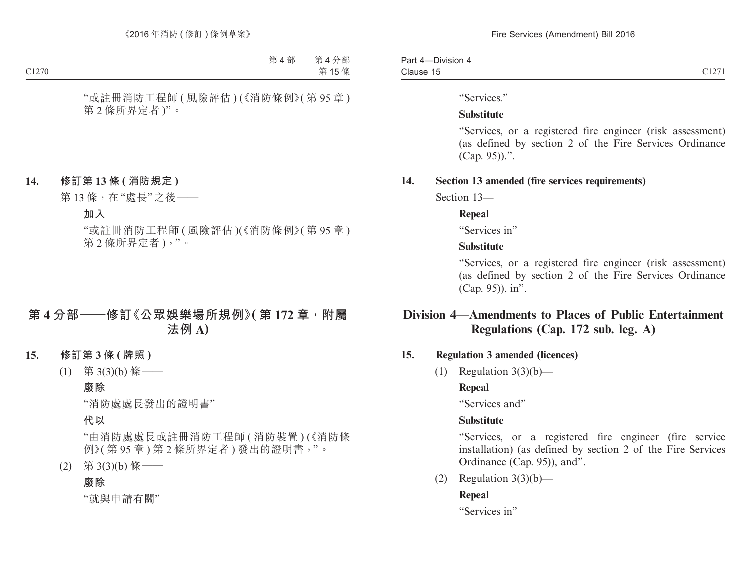| $- \cdot$<br>-<br>Par.<br>-Division |                             |
|-------------------------------------|-----------------------------|
| Clause<br>.                         | $\sim$ 10 $\sim$<br>- 1 - 1 |

"Services."

#### **Substitute**

"Services, or a registered fire engineer (risk assessment) (as defined by section 2 of the Fire Services Ordinance (Cap. 95)).".

#### **14. Section 13 amended (fire services requirements)**

Section 13—

#### **Repeal**

"Services in"

## **Substitute**

"Services, or a registered fire engineer (risk assessment) (as defined by section 2 of the Fire Services Ordinance (Cap. 95)), in".

# **Division 4—Amendments to Places of Public Entertainment Regulations (Cap. 172 sub. leg. A)**

## **15. Regulation 3 amended (licences)**

(1) Regulation  $3(3)(b)$ —

## **Repeal**

"Services and"

## **Substitute**

"Services, or a registered fire engineer (fire service installation) (as defined by section 2 of the Fire Services Ordinance (Cap. 95)), and".

(2) Regulation  $3(3)(b)$ —

## **Repeal**

"Services in"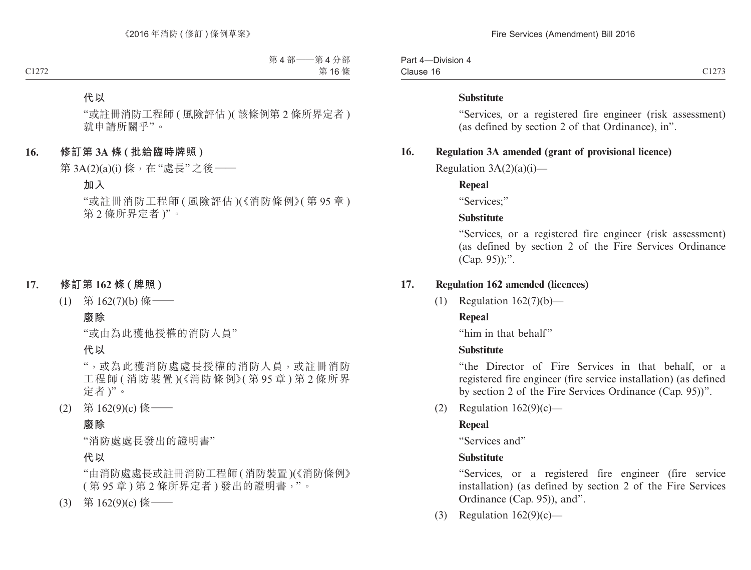| $\sim$<br>Part<br>-Division<br>-4<br>, , |       |
|------------------------------------------|-------|
| Clause<br>.                              | 01272 |

#### **Substitute**

"Services, or a registered fire engineer (risk assessment) (as defined by section 2 of that Ordinance), in".

## **16. Regulation 3A amended (grant of provisional licence)**

Regulation  $3A(2)(a)(i)$ —

#### **Repeal**

"Services;"

#### **Substitute**

"Services, or a registered fire engineer (risk assessment) (as defined by section 2 of the Fire Services Ordinance (Cap. 95));".

#### **17. Regulation 162 amended (licences)**

(1) Regulation 162(7)(b)—

#### **Repeal**

"him in that behalf"

#### **Substitute**

"the Director of Fire Services in that behalf, or a registered fire engineer (fire service installation) (as defined by section 2 of the Fire Services Ordinance (Cap. 95))".

(2) Regulation  $162(9)(c)$ —

#### **Repeal**

"Services and"

#### **Substitute**

"Services, or a registered fire engineer (fire service installation) (as defined by section 2 of the Fire Services Ordinance (Cap. 95)), and".

(3) Regulation  $162(9)(c)$ —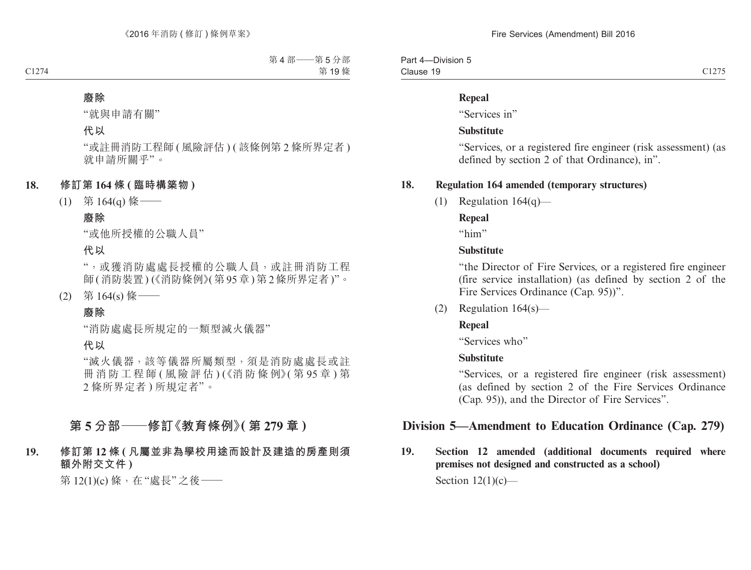Part 4—Division 5 Clause 19 Clause 19  $C1275$ 

#### **Repeal**

"Services in"

#### **Substitute**

"Services, or a registered fire engineer (risk assessment) (as defined by section 2 of that Ordinance), in".

## **18. Regulation 164 amended (temporary structures)**

(1) Regulation  $164(q)$ —

## **Repeal**

"him"

## **Substitute**

"the Director of Fire Services, or a registered fire engineer (fire service installation) (as defined by section 2 of the Fire Services Ordinance (Cap. 95))".

(2) Regulation 164(s)—

## **Repeal**

"Services who"

## **Substitute**

"Services, or a registered fire engineer (risk assessment) (as defined by section 2 of the Fire Services Ordinance (Cap. 95)), and the Director of Fire Services".

# **Division 5—Amendment to Education Ordinance (Cap. 279)**

**19. Section 12 amended (additional documents required where premises not designed and constructed as a school)**

Section  $12(1)(c)$ —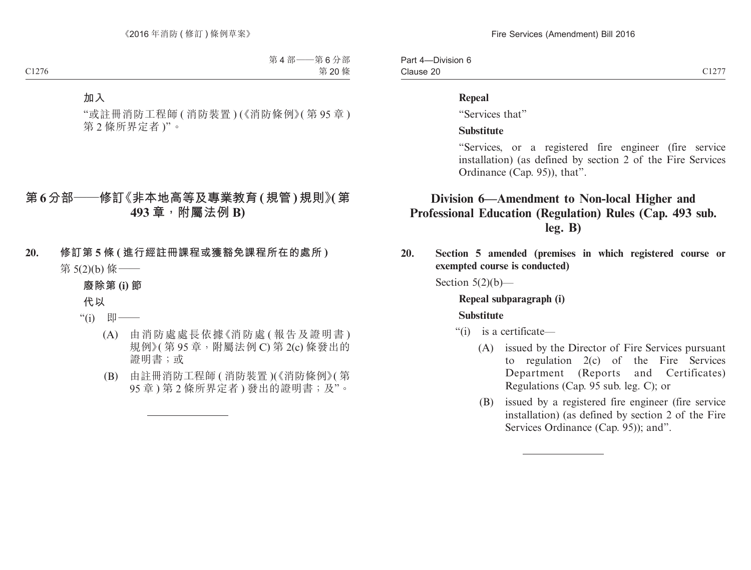| -Division 6<br>Part<br>$\Delta$ |                    |
|---------------------------------|--------------------|
| Clause 20                       | 0127<br>$\sim$ 12. |

#### **Repeal**

"Services that"

#### **Substitute**

"Services, or a registered fire engineer (fire service installation) (as defined by section 2 of the Fire Services Ordinance (Cap. 95)), that".

# **Division 6—Amendment to Non-local Higher and Professional Education (Regulation) Rules (Cap. 493 sub. leg. B)**

**20. Section 5 amended (premises in which registered course or exempted course is conducted)**

Section  $5(2)(b)$ —

# **Repeal subparagraph (i)**

#### **Substitute**

- "(i) is a certificate—
	- (A) issued by the Director of Fire Services pursuant to regulation 2(c) of the Fire Services Department (Reports and Certificates) Regulations (Cap. 95 sub. leg. C); or
	- (B) issued by a registered fire engineer (fire service installation) (as defined by section 2 of the Fire Services Ordinance (Cap. 95)); and".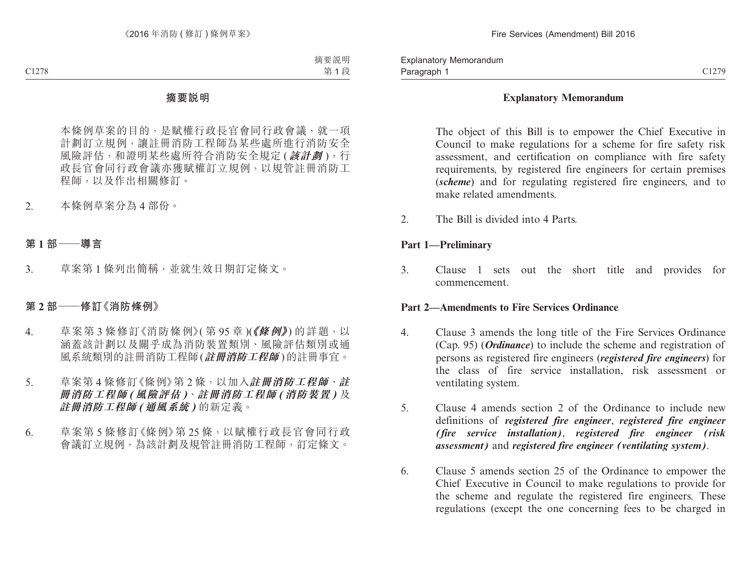#### **Explanatory Memorandum**

The object of this Bill is to empower the Chief Executive in Council to make regulations for a scheme for fire safety risk assessment, and certification on compliance with fire safety requirements, by registered fire engineers for certain premises (*scheme*) and for regulating registered fire engineers, and to make related amendments.

2. The Bill is divided into 4 Parts.

#### **Part 1—Preliminary**

3. Clause 1 sets out the short title and provides for commencement.

#### **Part 2—Amendments to Fire Services Ordinance**

- 4. Clause 3 amends the long title of the Fire Services Ordinance (Cap. 95) (*Ordinance*) to include the scheme and registration of persons as registered fire engineers (*registered fire engineers*) for the class of fire service installation, risk assessment or ventilating system.
- 5. Clause 4 amends section 2 of the Ordinance to include new definitions of *registered fire engineer*, *registered fire engineer (fire service installation)*, *registered fire engineer (risk assessment)* and *registered fire engineer (ventilating system)*.
- 6. Clause 5 amends section 25 of the Ordinance to empower the Chief Executive in Council to make regulations to provide for the scheme and regulate the registered fire engineers. These regulations (except the one concerning fees to be charged in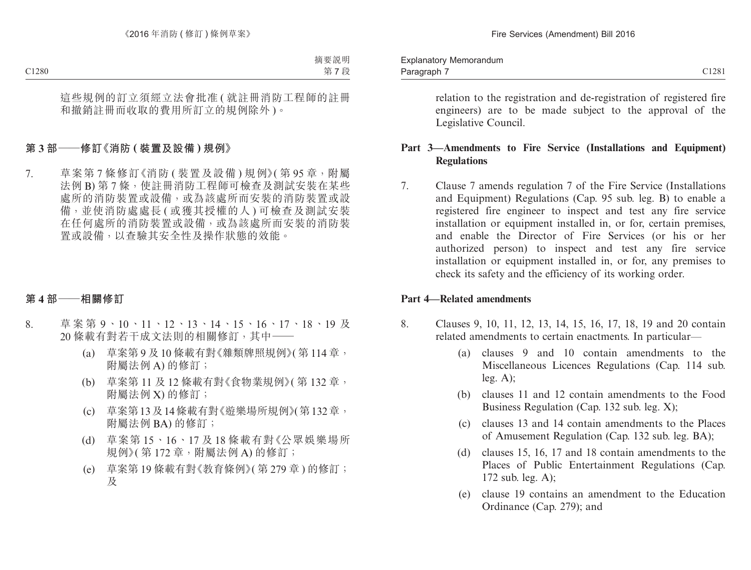| Memorandum<br>explanator |       |
|--------------------------|-------|
| Paragraph                | C1281 |

relation to the registration and de-registration of registered fire engineers) are to be made subject to the approval of the Legislative Council.

## **Part 3—Amendments to Fire Service (Installations and Equipment) Regulations**

7. Clause 7 amends regulation 7 of the Fire Service (Installations and Equipment) Regulations (Cap. 95 sub. leg. B) to enable a registered fire engineer to inspect and test any fire service installation or equipment installed in, or for, certain premises, and enable the Director of Fire Services (or his or her authorized person) to inspect and test any fire service installation or equipment installed in, or for, any premises to check its safety and the efficiency of its working order.

#### **Part 4—Related amendments**

- 8. Clauses 9, 10, 11, 12, 13, 14, 15, 16, 17, 18, 19 and 20 contain related amendments to certain enactments. In particular—
	- (a) clauses 9 and 10 contain amendments to the Miscellaneous Licences Regulations (Cap. 114 sub. leg. A);
	- (b) clauses 11 and 12 contain amendments to the Food Business Regulation (Cap. 132 sub. leg. X);
	- (c) clauses 13 and 14 contain amendments to the Places of Amusement Regulation (Cap. 132 sub. leg. BA);
	- (d) clauses 15, 16, 17 and 18 contain amendments to the Places of Public Entertainment Regulations (Cap. 172 sub. leg. A);
	- (e) clause 19 contains an amendment to the Education Ordinance (Cap. 279); and